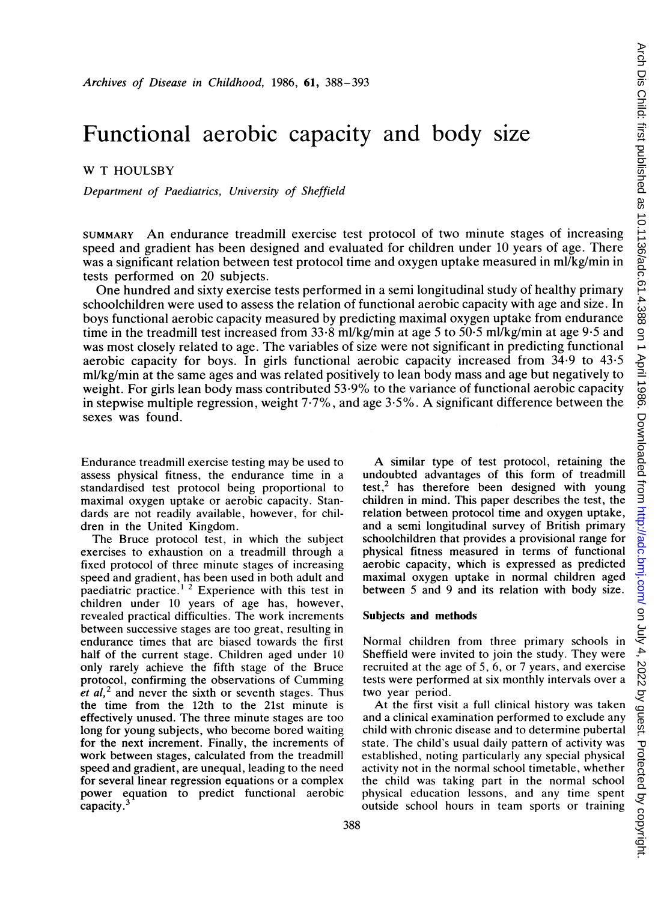# Functional aerobic capacity and body size

W <sup>T</sup> HOULSBY

Department of Paediatrics, University of Sheffield

SUMMARY An endurance treadmill exercise test protocol of two minute stages of increasing speed and gradient has been designed and evaluated for children under 10 years of age. There was a significant relation between test protocol time and oxygen uptake measured in ml/kg/min in tests performed on 20 subjects.

One hundred and sixty exercise tests performed in a semi longitudinal study of healthy primary schoolchildren were used to assess the relation of functional aerobic capacity with age and size. In boys functional aerobic capacity measured by predicting maximal oxygen uptake from endurance time in the treadmill test increased from  $33.8$  ml/kg/min at age 5 to  $50.5$  ml/kg/min at age 9.5 and was most closely related to age. The variables of size were not significant in predicting functional aerobic capacity for boys. In girls functional aerobic capacity increased from 34\*9 to 43-5 ml/kg/min at the same ages and was related positively to lean body mass and age but negatively to weight. For girls lean body mass contributed 53-9% to the variance of functional aerobic capacity in stepwise multiple regression, weight 7-7%, and age 3-5%. A significant difference between the sexes was found.

Endurance treadmill exercise testing may be used to assess physical fitness, the endurance time in a standardised test protocol being proportional to maximal oxygen uptake or aerobic capacity. Standards are not readily available, however, for children in the United Kingdom.

The Bruce protocol test, in which the subject exercises to exhaustion on a treadmill through a fixed protocol of three minute stages of increasing speed and gradient, has been used in both adult and paediatric practice.<sup>12</sup> Experience with this test in children under 10 years of age has, however, revealed practical difficulties. The work increments between successive stages are too great, resulting in endurance times that are biased towards the first half of the current stage. Children aged under 10 only rarely achieve the fifth stage of the Bruce protocol, confirming the observations of Cumming et  $al$ ,<sup>2</sup> and never the sixth or seventh stages. Thus the time from the 12th to the 21st minute is effectively unused. The three minute stages are too long for young subjects, who become bored waiting for the next increment. Finally, the increments of work between stages, calculated from the treadmill speed and gradient, are unequal, leading to the need for several linear regression equations or a complex power equation to predict functional aerobic capacity.

A similar type of test protocol, retaining the undoubted advantages of this form of treadmill test,<sup>2</sup> has therefore been designed with young children in mind. This paper describes the test, the relation between protocol time and oxygen uptake, and a semi longitudinal survey of British primary schoolchildren that provides a provisional range for physical fitness measured in terms of functional aerobic capacity, which is expressed as predicted maximal oxygen uptake in normal children aged between 5 and 9 and its relation with body size.

#### Subjects and methods

Normal children from three primary schools in Sheffield were invited to join the study. They were recruited at the age of 5, 6, or 7 years, and exercise tests were performed at six monthly intervals over a two year period.

At the first visit a full clinical history was taken and a clinical examination performed to exclude any child with chronic disease and to determine pubertal state. The child's usual daily pattern of activity was established, noting particularly any special physical activity not in the normal school timetable, whether the child was taking part in the normal school physical education lessons, and any time spent outside school hours in team sports or training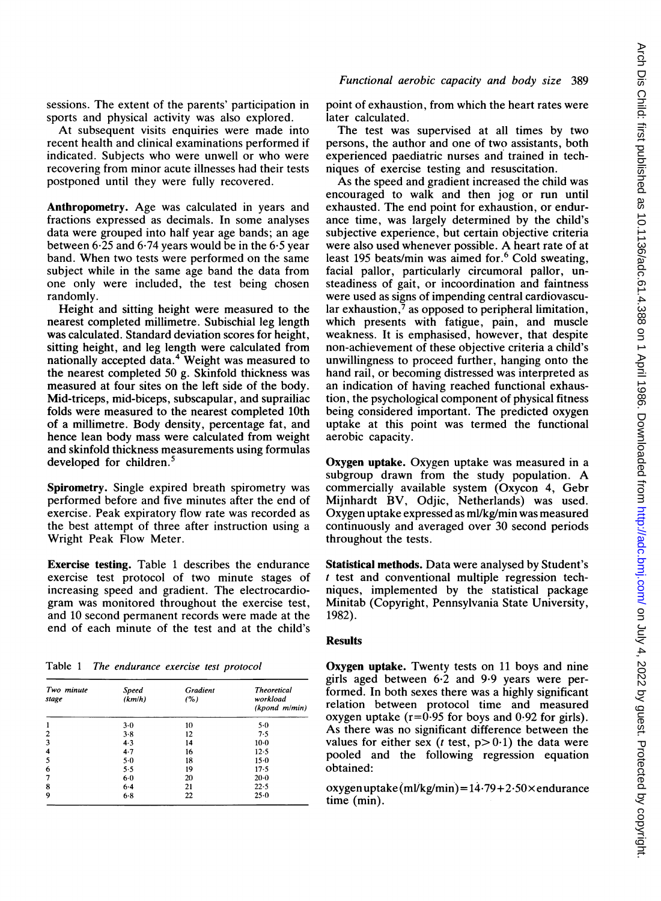sessions. The extent of the parents' participation in sports and physical activity was also explored.

At subsequent visits enquiries were made into recent health and clinical examinations performed if indicated. Subjects who were unwell or who were recovering from minor acute illnesses had their tests postponed until they were fully recovered.

Anthropometry. Age was calculated in years and fractions expressed as decimals. In some analyses data were grouped into half year age bands; an age between 6-25 and 6-74 years would be in the 6-5 year band. When two tests were performed on the same subject while in the same age band the data from one only were included, the test being chosen randomly.

Height and sitting height were measured to the nearest completed millimetre. Subischial leg length was calculated. Standard deviation scores for height, sitting height, and leg length were calculated from nationally accepted data.4 Weight was measured to the nearest completed 50 g. Skinfold thickness was measured at four sites on the left side of the body. Mid-triceps, mid-biceps, subscapular, and suprailiac folds were measured to the nearest completed 10th of a millimetre. Body density, percentage fat, and hence lean body mass were calculated from weight and skinfold thickness measurements using formulas developed for children.<sup>5</sup>

Spirometry. Single expired breath spirometry was performed before and five minutes after the end of exercise. Peak expiratory flow rate was recorded as the best attempt of three after instruction using a Wright Peak Flow Meter.

Exercise testing. Table <sup>1</sup> describes the endurance exercise test protocol of two minute stages of increasing speed and gradient. The electrocardiogram was monitored throughout the exercise test, and 10 second permanent records were made at the end of each minute of the test and at the child's

Table <sup>1</sup> The endurance exercise test protocol

| Two minute<br>stage | <b>Speed</b><br>(km/h) | Gradient<br>(%) | <b>Theoretical</b><br>workload<br>(kpond m/min) |
|---------------------|------------------------|-----------------|-------------------------------------------------|
| 1                   | $3-0$                  | 10              | 5.0                                             |
| $\overline{2}$      | 3.8                    | 12              | 7.5                                             |
| 3                   | $4-3$                  | 14              | $10-0$                                          |
| 4                   | 4.7                    | 16              | 12.5                                            |
| 5                   | $5-0$                  | 18              | $15-0$                                          |
| 6                   | 5.5                    | 19              | 17.5                                            |
| 7                   | $6-0$                  | 20              | $20 - 0$                                        |
| 8                   | $6 - 4$                | 21              | 22.5                                            |
| 9                   | $6-8$                  | 22              | 25.0                                            |

point of exhaustion, from which the heart rates were later calculated.

The test was supervised at all times by two persons, the author and one of two assistants, both experienced paediatric nurses and trained in techniques of exercise testing and resuscitation.

As the speed and gradient increased the child was encouraged to walk and then jog or run until exhausted. The end point for exhaustion, or endurance time, was largely determined by the child's subjective experience, but certain objective criteria were also used whenever possible. A heart rate of at least 195 beats/min was aimed for.<sup>6</sup> Cold sweating, facial pallor, particularly circumoral pallor, unsteadiness of gait, or incoordination and faintness were used as signs of impending central cardiovascular exhaustion, $\frac{7}{3}$  as opposed to peripheral limitation, which presents with fatigue, pain, and muscle weakness. It is emphasised, however, that despite non-achievement of these objective criteria <sup>a</sup> child's unwillingness to proceed further, hanging onto the hand rail, or becoming distressed was interpreted as an indication of having reached functional exhaustion, the psychological component of physical fitness being considered important. The predicted oxygen uptake at this point was termed the functional aerobic capacity.

Oxygen uptake. Oxygen uptake was measured in a subgroup drawn from the study population. A commercially available system (Oxycon 4, Gebr Mijnhardt BV, Odjic, Netherlands) was used. Oxygen uptake expressed as ml/kg/min was measured continuously and averaged over 30 second periods throughout the tests.

Statistical methods. Data were analysed by Student's  $t$  test and conventional multiple regression techniques, implemented by the statistical package Minitab (Copyright, Pennsylvania State University, 1982).

# Results

Oxygen uptake. Twenty tests on 11 boys and nine girls aged between  $6·2$  and  $9·9$  years were performed. In both sexes there was a highly significant relation between protocol time and measured oxygen uptake ( $r=0.95$  for boys and 0.92 for girls). As there was no significant difference between the values for either sex (*t* test,  $p > 0.1$ ) the data were pooled and the following regression equation obtained:

oxygen uptake  $(m\frac{\log m}{m}) = 14.79 + 2.50 \times \text{endurance}$ time (min).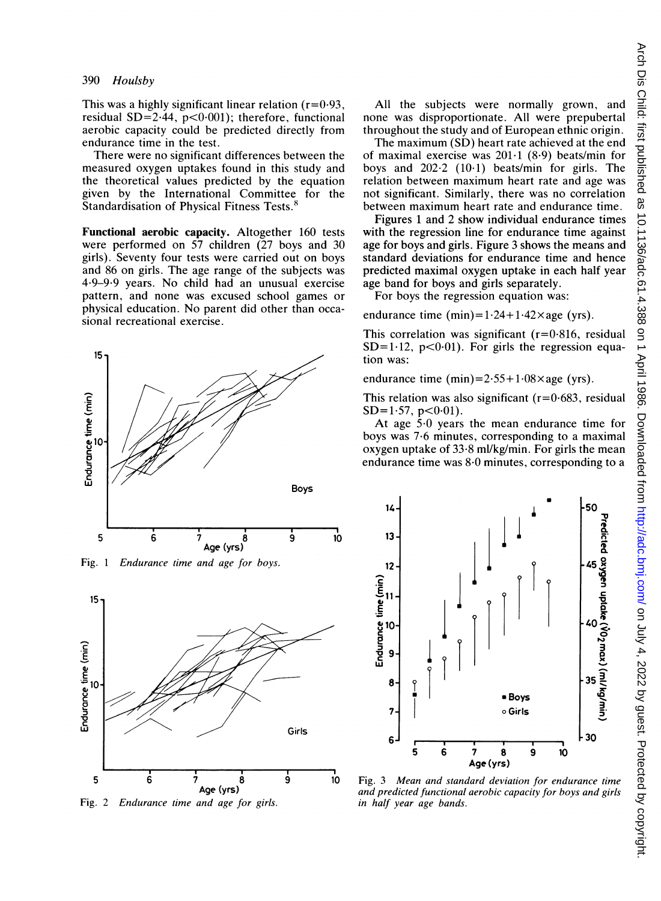This was a highly significant linear relation  $(r=0.93)$ , residual SD=2.44,  $p<0.001$ ; therefore, functional aerobic capacity could be predicted directly from endurance time in the test.

There were no significant differences between the measured oxygen uptakes found in this study and the theoretical values predicted by the equation given by the International Committee for the Standardisation of Physical Fitness Tests.<sup>8</sup>

Functional aerobic capacity. Altogether 160 tests were performed on 57 children (27 boys and 30 girls). Seventy four tests were carried out on boys and 86 on girls. The age range of the subjects was 4\*9-9-9 years. No child had an unusual exercise pattern, and none was excused school games or physical education. No parent did other than occasional recreational exercise.



Fig. 1 Endurance time and age for boys. 12



Fig. 2 Endurance time and age for girls.

All the subjects were normally grown, and none was disproportionate. All were prepubertal throughout the study and of European ethnic origin.

The maximum (SD) heart rate achieved at the end of maximal exercise was  $201 \cdot 1$  (8.9) beats/min for boys and  $202.2$  (10.1) beats/min for girls. The relation between maximum heart rate and age was not significant. Similarly, there was no correlation between maximum heart rate and endurance time.

Figures <sup>1</sup> and 2 show individual endurance times with the regression line for endurance time against age for boys and girls. Figure 3 shows the means and standard deviations for endurance time and hence predicted maximal oxygen uptake in each half year age band for boys and girls separately.

For boys the regression equation was:

endurance time  $(min)=1.24+1.42\times age$  (yrs).

This correlation was significant  $(r=0.816,$  residual  $SD=1.12$ ,  $p<0.01$ ). For girls the regression equation was:

endurance time  $(min)=2.55+1.08\times age$  (yrs).

This relation was also significant ( $r=0.683$ , residual  $SD=1.57$ ,  $p<0.01$ ).

At age  $5.0$  years the mean endurance time for boys was 7-6 minutes, corresponding to a maximal oxygen uptake of  $33.8$  ml/kg/min. For girls the mean endurance time was 8-0 minutes, corresponding to a



<sup>10</sup> Fig. 3 Mean and standard deviation for endurance time and predicted functional aerobic capacity for boys and girls in half year age bands.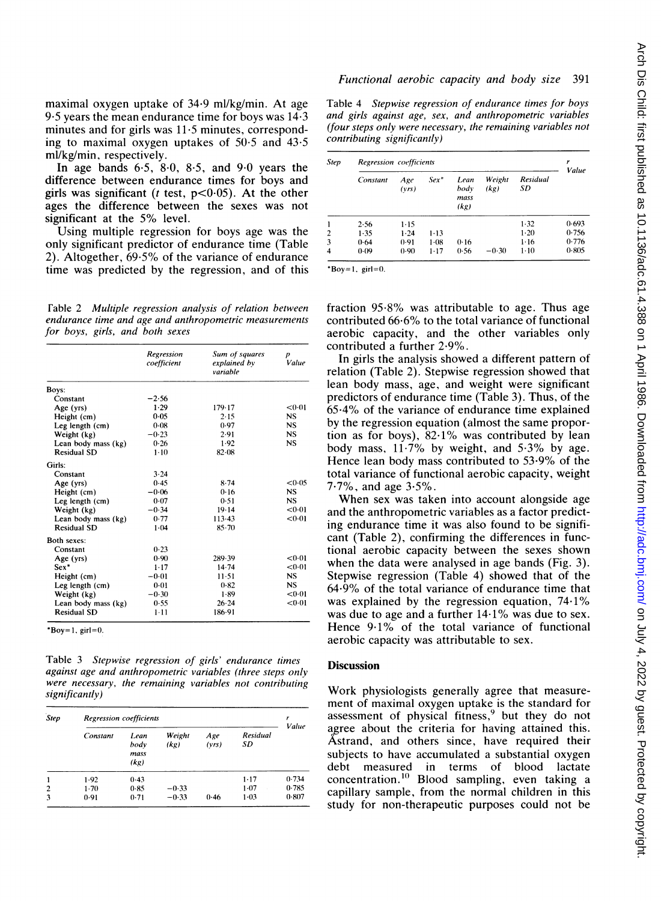maximal oxygen uptake of 34-9 ml/kg/min. At age 9.5 years the mean endurance time for boys was  $14.3$ minutes and for girls was 11.5 minutes, corresponding to maximal oxygen uptakes of  $50.5$  and  $43.5$ ml/kg/min, respectively.

In age bands  $6.5$ ,  $8.0$ ,  $8.5$ , and  $9.0$  years the difference between endurance times for boys and girls was significant ( $t$  test,  $p<0.05$ ). At the other ages the difference between the sexes was not significant at the 5% level.

Using multiple regression for boys age was the only significant predictor of endurance time (Table 2). Altogether, 69-5% of the variance of endurance time was predicted by the regression, and of this

Fable 2 Multiple regression analysis of relation between endurance time and age and anthropometric measurements for boys, girls, and both sexes

|                     | Regression<br>coefficient | Sum of squares<br>explained by<br>variable | D<br>Value |
|---------------------|---------------------------|--------------------------------------------|------------|
| Boys:               |                           |                                            |            |
| Constant            | $-2.56$                   |                                            |            |
| Age (yrs)           | 1.29                      | 179.17                                     | < 0.01     |
| Height (cm)         | 0.05                      | 2.15                                       | <b>NS</b>  |
| Leg length (cm)     | 0.08                      | 0.97                                       | <b>NS</b>  |
| Weight (kg)         | $-0.23$                   | 2.91                                       | <b>NS</b>  |
| Lean body mass (kg) | 0.26                      | 1.92                                       | <b>NS</b>  |
| <b>Residual SD</b>  | $1 - 10$                  | $82 - 08$                                  |            |
| Girls:              |                           |                                            |            |
| Constant            | 3.24                      |                                            |            |
| Age (yrs)           | 0.45                      | 8.74                                       | < 0.05     |
| Height (cm)         | $-0.06$                   | 0.16                                       | NS.        |
| Leg length (cm)     | 0.07                      | 0.51                                       | NS.        |
| Weight (kg)         | $-0.34$                   | $19 - 14$                                  | < 0.01     |
| Lean body mass (kg) | 0.77                      | 113.43                                     | < 0.01     |
| <b>Residual SD</b>  | $1 - 04$                  | $85 - 70$                                  |            |
| Both sexes:         |                           |                                            |            |
| Constant            | 0.23                      |                                            |            |
| Age (yrs)           | 0.90                      | 289.39                                     | < 0.01     |
| Sex*                | $1 - 17$                  | 14.74                                      | < 0.01     |
| Height (cm)         | $-0.01$                   | $11 - 51$                                  | <b>NS</b>  |
| Leg length (cm)     | $0 - 01$                  | 0.82                                       | <b>NS</b>  |
| Weight (kg)         | $-0.30$                   | 1.89                                       | < 0.01     |
| Lean body mass (kg) | 0.55                      | 26.24                                      | < 0.01     |
| <b>Residual SD</b>  | $1 - 11$                  | 186-91                                     |            |

\*Boy=1,  $girl=0$ .

Table 3 Stepwise regression of girls' endurance times against age and anthropometric variables (three steps only were necessary, the remaining variables not contributing significantly)

| Step | <b>Regression</b> coefficients |                               |                |              |                |       |
|------|--------------------------------|-------------------------------|----------------|--------------|----------------|-------|
|      | Constant                       | I ean<br>body<br>mass<br>(kg) | Weight<br>(kg) | Age<br>(vrs) | Residual<br>SD | Value |
| 1    | 1.92                           | 0.43                          |                |              | $1 - 17$       | 0.734 |
| 2    | $1-70$                         | 0.85                          | $-0.33$        |              | $1 - 07$       | 0.785 |
| 3    | 0.91                           | 0.71                          | $-0.33$        | 0.46         | $1 - 03$       | 0.807 |

# Functional aerobic capacity and body size 391

Table 4 Stepwise regression of endurance times for boys and girls against age, sex, and anthropometric variables (four steps only were necessary, the remaining variables not contributing significantly)

| <b>Step</b>    | Regression coefficients |              |          |                              |                |                | Value |
|----------------|-------------------------|--------------|----------|------------------------------|----------------|----------------|-------|
|                | Constant                | Age<br>(vrs) | $Sex^*$  | Lean<br>body<br>mass<br>(kg) | Weight<br>(kg) | Residual<br>SD |       |
| 1              | 2.56                    | $1 - 15$     |          |                              |                | 1.32           | 0.693 |
| $\overline{2}$ | 1.35                    | $1 - 24$     | $1 - 13$ |                              |                | $1-20$         | 0.756 |
| 3              | 0.64                    | 0.91         | $1 - 08$ | 0.16                         |                | $1 - 16$       | 0.776 |
| 4              | 0.09                    | 0.90         | $1 - 17$ | 0.56                         | $-0.30$        | $1 - 10$       | 0.805 |

 $*$ Boy=1, girl=0.

fraction 95-8% was attributable to age. Thus age contributed 66-6% to the total variance of functional aerobic capacity, and the other variables only contributed a further 2-9%.

In girls the analysis showed a different pattern of relation (Table 2). Stepwise regression showed that lean body mass, age, and weight were significant predictors of endurance time (Table 3). Thus, of the  $65.4\%$  of the variance of endurance time explained by the regression equation (almost the same proportion as for boys),  $82.1\%$  was contributed by lean body mass,  $11.7\%$  by weight, and  $5.3\%$  by age. Hence lean body mass contributed to 53-9% of the total variance of functional aerobic capacity, weight 7-7%, and age 3.5%.

When sex was taken into account alongside age and the anthropometric variables as a factor predicting endurance time it was also found to be significant (Table 2), confirming the differences in functional aerobic capacity between the sexes shown when the data were analysed in age bands (Fig. 3). Stepwise regression (Table 4) showed that of the 64-9% of the total variance of endurance time that was explained by the regression equation, 74.1% was due to age and <sup>a</sup> further <sup>14</sup> 1% was due to sex. Hence 9-1% of the total variance of functional aerobic capacity was attributable to sex.

#### **Discussion**

Work physiologists generally agree that measurement of maximal oxygen uptake is the standard for assessment of physical fitness, but they do not agree about the criteria for having attained this. Astrand, and others since, have required their subjects to have accumulated a substantial oxygen debt measured in terms of blood lactate concentration.<sup>10</sup> Blood sampling, even taking a capillary sample, from the normal children in this study for non-therapeutic purposes could not be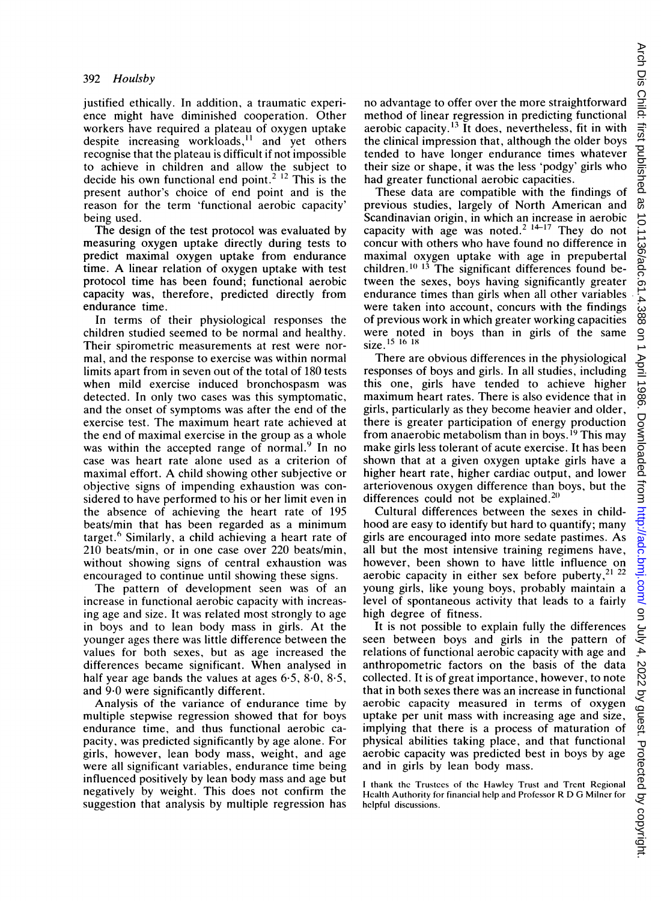justified ethically. In addition, a traumatic experience might have diminished cooperation. Other workers have required a plateau of oxygen uptake workers have required a plateau of oxygen uptake despite increasing workloads, and yet others recognise that the plateau is difficult if not impossible to achieve in children and allow the subject to decide his own functional end point.<sup>2 12</sup> This is the present author's choice of end point and is the reason for the term 'functional aerobic capacity' being used.

The design of the test protocol was evaluated by measuring oxygen uptake directly during tests to predict maximal oxygen uptake from endurance time. A linear relation of oxygen uptake with test protocol time has been found; functional aerobic capacity was, therefore, predicted directly from endurance time.

In terms of their physiological responses the children studied seemed to be normal and healthy. Their spirometric measurements at rest were normal, and the response to exercise was within normal limits apart from in seven out of the total of 180 tests when mild exercise induced bronchospasm was detected. In only two cases was this symptomatic, and the onset of symptoms was after the end of the exercise test. The maximum heart rate achieved at the end of maximal exercise in the group as a whole was within the accepted range of normal.<sup>9</sup> In no case was heart rate alone used as a criterion of maximal effort. A child showing other subjective or objective signs of impending exhaustion was considered to have performed to his or her limit even in the absence of achieving the heart rate of 195 beats/min that has been regarded as a minimum target.<sup>6</sup> Similarly, a child achieving a heart rate of 210 beats/min, or in one case over 220 beats/min, without showing signs of central exhaustion was encouraged to continue until showing these signs.

The pattern of development seen was of an increase in functional aerobic capacity with increasing age and size. It was related most strongly to age in boys and to lean body mass in girls. At the younger ages there was little difference between the values for both sexes, but as age increased the values for both sexes, but as age increased the differences became significant. When analysed in half year age bands the values at ages  $6.5$ ,  $8.0$ ,  $8.5$ , and 9-0 were significantly different.

Analysis of the variance of endurance time by multiple stepwise regression showed that for boys endurance time, and thus functional aerobic capacity, was predicted significantly by age alone. For girls, however, lean body mass, weight, and age were all significant variables, endurance time being influenced positively by lean body mass and age but negatively by weight. This does not confirm the suggestion that analysis by multiple regression has

no advantage to offer over the more straightforward method of linear regression in predicting functional aerobic capacity.<sup>13</sup> It does, nevertheless, fit in with the clinical impression that, although the older boys the clinical impression that, although the older boys tended to have longer endurance times whatever their size or shape, it was the less 'podgy' girls who had greater functional aerobic capacities.

These data are compatible with the findings of previous studies, largely of North American and Scandinavian origin, in which an increase in aerobic capacity with age was noted.  $1 \text{ n}$  They do not concur with others who have found no difference in maximal oxygen uptake with age in prepubertal  $c$  and  $c$  is  $\frac{1}{3}$  in  $\frac{1}{3}$  is  $\frac{1}{3}$  and  $\frac{1}{3}$  is  $\frac{1}{3}$  and  $\frac{1}{3}$  is  $\frac{1}{3}$  and  $\frac{1}{3}$  is  $\frac{1}{3}$  and  $\frac{1}{3}$  and  $\frac{1}{3}$  and  $\frac{1}{3}$  and  $\frac{1}{3}$  and  $\frac{1}{3}$  and  $\frac{1}{3}$  and tween the sexes, boys having significantly greater endurance times than girls when all other variables were taken into account, concurs with the findings of previous work in which greater working capacities were noted in boys than in girls of the same size.<sup>15</sup> 16 18

There are obvious differences in the physiological responses of boys and girls. In all studies, including this one, girls have tended to achieve higher maximum heart rates. There is also evidence that in girls, particularly as they become heavier and older, there is greater participation of energy production from anaerobic metabolism than in boys.<sup>19</sup> This may make girls less tolerant of acute exercise. It has been shown that at a given oxygen uptake girls have a higher heart rate, higher cardiac output, and lower arteriovenous oxygen difference than boys, but the differences could not be explained.<sup>20</sup>

Cultural differences between the sexes in childhood are easy to identify but hard to quantify; many girls are encouraged into more sedate pastimes. As all but the most intensive training regimens have, however, been shown to have little influence on aerobic capacity in either sex before puberty,  $2^{122}$ young girls, like young boys, probably maintain a level of spontaneous activity that leads to a fairly high degree of fitness.

It is not possible to explain fully the differences seen between boys and girls in the pattern of relations of functional aerobic capacity with age and anthropometric factors on the basis of the data collected. It is of great importance, however, to note that in both sexes there was an increase in functional aerobic capacity measured in terms of oxygen uptake per unit mass with increasing age and size, implying that there is a process of maturation of physical abilities taking place, and that functional aerobic capacity was predicted best in boys by age and in girls by lean body mass.

<sup>I</sup> thank the Trustees of the Hawicy Trust and Trcnt Regional Health Authority for financial hclp and Professor R D G Milner for helpful discussions.